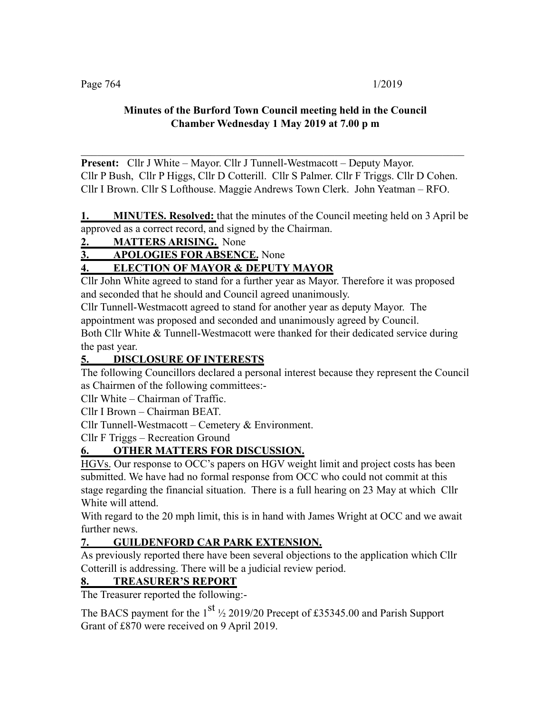### **Minutes of the Burford Town Council meeting held in the Council Chamber Wednesday 1 May 2019 at 7.00 p m**

**Present:** Cllr J White – Mayor. Cllr J Tunnell-Westmacott – Deputy Mayor. Cllr P Bush, Cllr P Higgs, Cllr D Cotterill. Cllr S Palmer. Cllr F Triggs. Cllr D Cohen. Cllr I Brown. Cllr S Lofthouse. Maggie Andrews Town Clerk. John Yeatman – RFO.

 $\mathcal{L}_\text{max}$  , and the contribution of the contribution of the contribution of the contribution of the contribution of the contribution of the contribution of the contribution of the contribution of the contribution of t

**1. MINUTES. Resolved:** that the minutes of the Council meeting held on 3 April be approved as a correct record, and signed by the Chairman.

# **2. MATTERS ARISING.** None

**3. APOLOGIES FOR ABSENCE.** None

# **4. ELECTION OF MAYOR & DEPUTY MAYOR**

Cllr John White agreed to stand for a further year as Mayor. Therefore it was proposed and seconded that he should and Council agreed unanimously.

Cllr Tunnell-Westmacott agreed to stand for another year as deputy Mayor. The appointment was proposed and seconded and unanimously agreed by Council.

Both Cllr White & Tunnell-Westmacott were thanked for their dedicated service during the past year.

### **5. DISCLOSURE OF INTERESTS**

The following Councillors declared a personal interest because they represent the Council as Chairmen of the following committees:-

Cllr White – Chairman of Traffic.

Cllr I Brown – Chairman BEAT.

Cllr Tunnell-Westmacott – Cemetery & Environment.

Cllr F Triggs – Recreation Ground

# **6. OTHER MATTERS FOR DISCUSSION.**

HGVs. Our response to OCC's papers on HGV weight limit and project costs has been submitted. We have had no formal response from OCC who could not commit at this stage regarding the financial situation. There is a full hearing on 23 May at which Cllr White will attend.

With regard to the 20 mph limit, this is in hand with James Wright at OCC and we await further news.

# **7. GUILDENFORD CAR PARK EXTENSION.**

As previously reported there have been several objections to the application which Cllr Cotterill is addressing. There will be a judicial review period.

# **8. TREASURER'S REPORT**

The Treasurer reported the following:-

The BACS payment for the  $1<sup>st</sup>$  ½ 2019/20 Precept of £35345.00 and Parish Support Grant of £870 were received on 9 April 2019.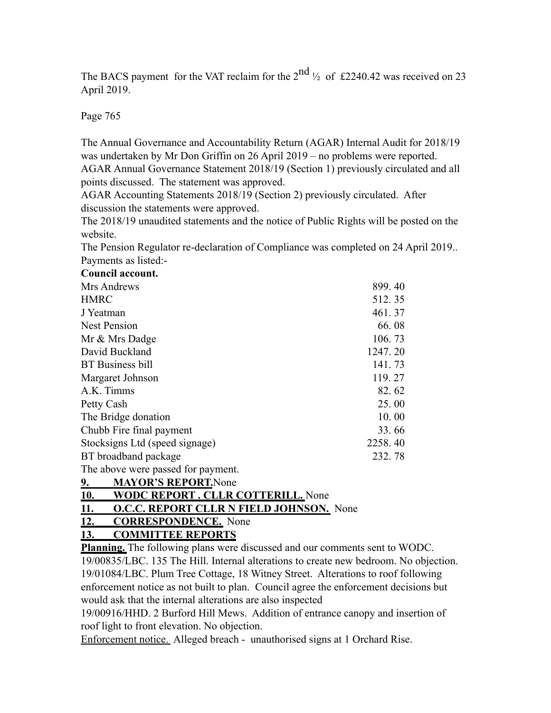The BACS payment for the VAT reclaim for the  $2<sup>nd</sup>$   $\frac{1}{2}$  of £2240.42 was received on 23 April 2019.

Page 765

The Annual Governance and Accountability Return (AGAR) Internal Audit for 2018/19 was undertaken by Mr Don Griffin on 26 April 2019 – no problems were reported. AGAR Annual Governance Statement 2018/19 (Section 1) previously circulated and all points discussed. The statement was approved.

AGAR Accounting Statements 2018/19 (Section 2) previously circulated. After discussion the statements were approved.

The 2018/19 unaudited statements and the notice of Public Rights will be posted on the website.

The Pension Regulator re-declaration of Compliance was completed on 24 April 2019.. Payments as listed:-

#### **Council account.**

| Mrs Andrews                        | 899.40  |
|------------------------------------|---------|
| <b>HMRC</b>                        | 512.35  |
| J Yeatman                          | 461.37  |
| <b>Nest Pension</b>                | 66.08   |
| Mr & Mrs Dadge                     | 106.73  |
| David Buckland                     | 1247.20 |
| <b>BT</b> Business bill            | 141.73  |
| Margaret Johnson                   | 119.27  |
| A.K. Timms                         | 82.62   |
| Petty Cash                         | 25.00   |
| The Bridge donation                | 10.00   |
| Chubb Fire final payment           | 33.66   |
| Stocksigns Ltd (speed signage)     | 2258.40 |
| BT broadband package               | 232.78  |
| The above were passed for payment. |         |

**9. MAYOR'S REPORT.**None

# **10. WODC REPORT . CLLR COTTERILL.** None

### **11. O.C.C. REPORT CLLR N FIELD JOHNSON.** None

### **12. CORRESPONDENCE.** None

**13. COMMITTEE REPORTS**

**Planning.** The following plans were discussed and our comments sent to WODC. 19/00835/LBC. 135 The Hill. Internal alterations to create new bedroom. No objection. 19/01084/LBC. Plum Tree Cottage, 18 Witney Street. Alterations to roof following enforcement notice as not built to plan. Council agree the enforcement decisions but would ask that the internal alterations are also inspected

19/00916/HHD. 2 Burford Hill Mews. Addition of entrance canopy and insertion of roof light to front elevation. No objection.

Enforcement notice. Alleged breach - unauthorised signs at 1 Orchard Rise.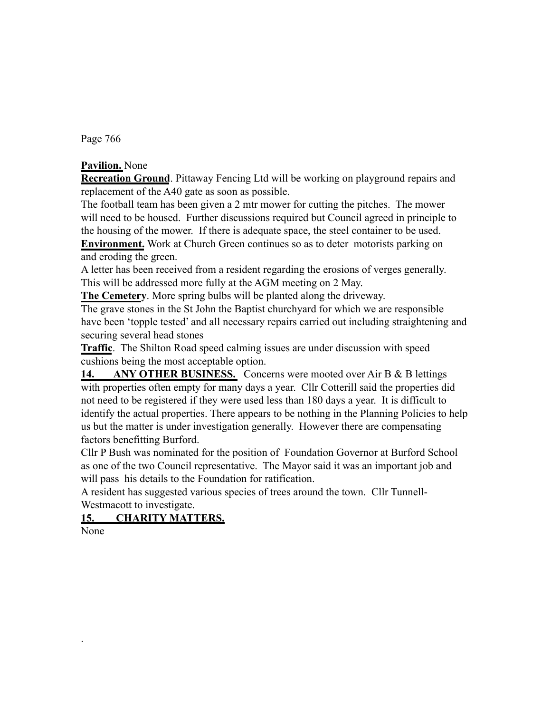Page 766

### **Pavilion.** None

**Recreation Ground**. Pittaway Fencing Ltd will be working on playground repairs and replacement of the A40 gate as soon as possible.

The football team has been given a 2 mtr mower for cutting the pitches. The mower will need to be housed. Further discussions required but Council agreed in principle to the housing of the mower. If there is adequate space, the steel container to be used. **Environment.** Work at Church Green continues so as to deter motorists parking on and eroding the green.

A letter has been received from a resident regarding the erosions of verges generally. This will be addressed more fully at the AGM meeting on 2 May.

**The Cemetery**. More spring bulbs will be planted along the driveway.

The grave stones in the St John the Baptist churchyard for which we are responsible have been 'topple tested' and all necessary repairs carried out including straightening and securing several head stones

**Traffic**. The Shilton Road speed calming issues are under discussion with speed cushions being the most acceptable option.

14. ANY OTHER BUSINESS. Concerns were mooted over Air B & B lettings with properties often empty for many days a year. Cllr Cotterill said the properties did not need to be registered if they were used less than 180 days a year. It is difficult to identify the actual properties. There appears to be nothing in the Planning Policies to help us but the matter is under investigation generally. However there are compensating factors benefitting Burford.

Cllr P Bush was nominated for the position of Foundation Governor at Burford School as one of the two Council representative. The Mayor said it was an important job and will pass his details to the Foundation for ratification.

A resident has suggested various species of trees around the town. Cllr Tunnell-Westmacott to investigate.

### **15. CHARITY MATTERS.**

None

.